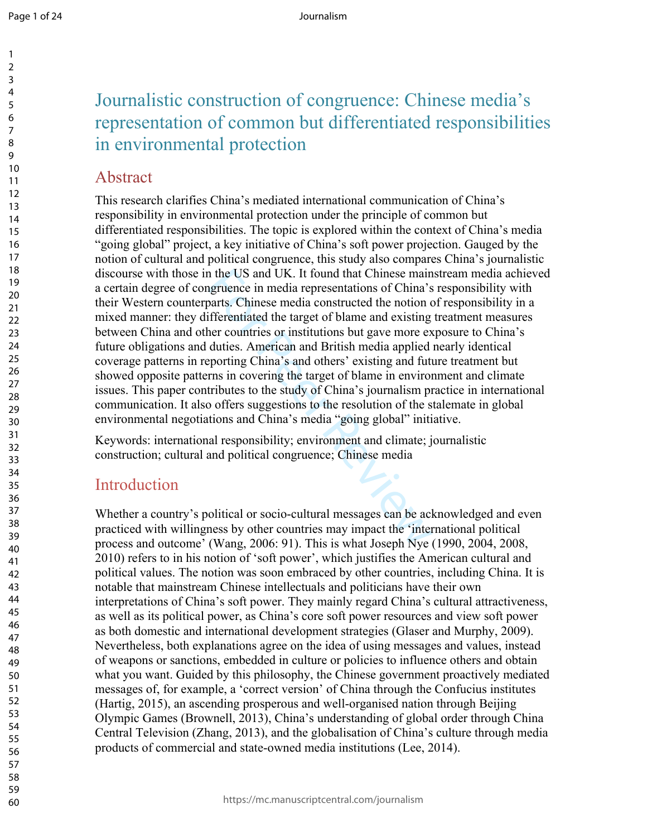# Journalistic construction of congruence: Chinese media's representation of common but differentiated responsibilities in environmental protection

## Abstract

is the US and UK. It found that Chinese main<br>agruence in media representations of China's<br>parts. Chinese media constructed the notion of<br>ifferentiated the target of blame and existing<br>her countries or institutions but gave This research clarifies China's mediated international communication of China's responsibility in environmental protection under the principle of common but differentiated responsibilities. The topic is explored within the context of China's media "going global" project, a key initiative of China's soft power projection. Gauged by the notion of cultural and political congruence, this study also compares China's journalistic discourse with those in the US and UK. It found that Chinese mainstream media achieved a certain degree of congruence in media representations of China's responsibility with their Western counterparts. Chinese media constructed the notion of responsibility in a mixed manner: they differentiated the target of blame and existing treatment measures between China and other countries or institutions but gave more exposure to China's future obligations and duties. American and British media applied nearly identical coverage patterns in reporting China's and others' existing and future treatment but showed opposite patterns in covering the target of blame in environment and climate issues. This paper contributes to the study of China's journalism practice in international communication. It also offers suggestions to the resolution of the stalemate in global environmental negotiations and China's media "going global" initiative.

Keywords: international responsibility; environment and climate; journalistic construction; cultural and political congruence; Chinese media

## **Introduction**

Whether a country's political or socio-cultural messages can be acknowledged and even practiced with willingness by other countries may impact the 'international political process and outcome' (Wang, 2006: 91). This is what Joseph Nye (1990, 2004, 2008, 2010) refers to in his notion of 'soft power', which justifies the American cultural and political values. The notion was soon embraced by other countries, including China. It is notable that mainstream Chinese intellectuals and politicians have their own interpretations of China's soft power. They mainly regard China's cultural attractiveness, as well as its political power, as China's core soft power resources and view soft power as both domestic and international development strategies (Glaser and Murphy, 2009). Nevertheless, both explanations agree on the idea of using messages and values, instead of weapons or sanctions, embedded in culture or policies to influence others and obtain what you want. Guided by this philosophy, the Chinese government proactively mediated messages of, for example, a 'correct version' of China through the Confucius institutes (Hartig, 2015), an ascending prosperous and well-organised nation through Beijing Olympic Games (Brownell, 2013), China's understanding of global order through China Central Television (Zhang, 2013), and the globalisation of China's culture through media products of commercial and state-owned media institutions (Lee, 2014).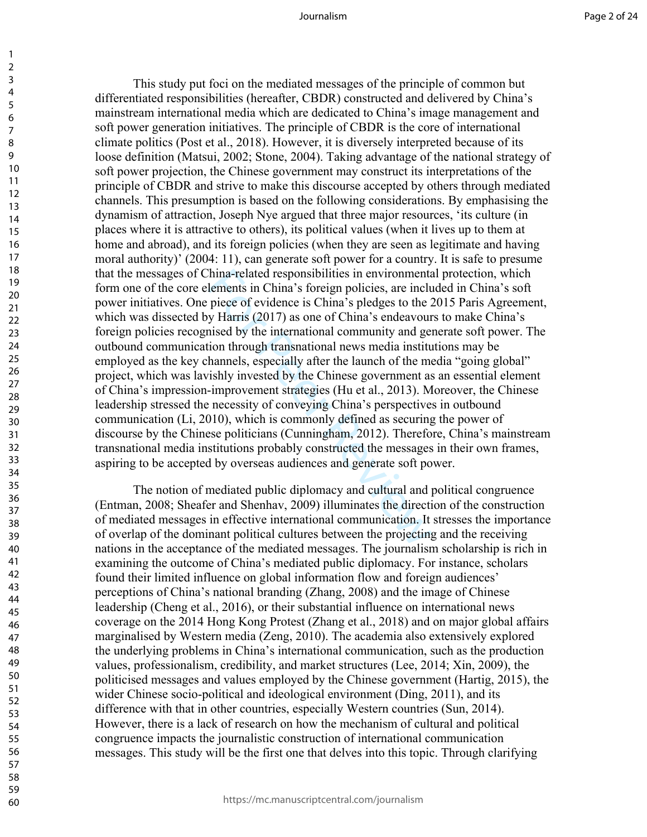#### Journalism

Thina-related responsibilities in environmenta<br>lements in China's foreign policies, are inclu<br>piece of evidence is China's pledges to the 2<br>y Harris (2017) as one of China's endeavour<br>nised by the international community a This study put foci on the mediated messages of the principle of common but differentiated responsibilities (hereafter, CBDR) constructed and delivered by China's mainstream international media which are dedicated to China's image management and soft power generation initiatives. The principle of CBDR is the core of international climate politics (Post et al., 2018). However, it is diversely interpreted because of its loose definition (Matsui, 2002; Stone, 2004). Taking advantage of the national strategy of soft power projection, the Chinese government may construct its interpretations of the principle of CBDR and strive to make this discourse accepted by others through mediated channels. This presumption is based on the following considerations. By emphasising the dynamism of attraction, Joseph Nye argued that three major resources, 'its culture (in places where it is attractive to others), its political values (when it lives up to them at home and abroad), and its foreign policies (when they are seen as legitimate and having moral authority)' (2004: 11), can generate soft power for a country. It is safe to presume that the messages of China-related responsibilities in environmental protection, which form one of the core elements in China's foreign policies, are included in China's soft power initiatives. One piece of evidence is China's pledges to the 2015 Paris Agreement, which was dissected by Harris (2017) as one of China's endeavours to make China's foreign policies recognised by the international community and generate soft power. The outbound communication through transnational news media institutions may be employed as the key channels, especially after the launch of the media "going global" project, which was lavishly invested by the Chinese government as an essential element of China's impression-improvement strategies (Hu et al., 2013). Moreover, the Chinese leadership stressed the necessity of conveying China's perspectives in outbound communication (Li, 2010), which is commonly defined as securing the power of discourse by the Chinese politicians (Cunningham, 2012). Therefore, China's mainstream transnational media institutions probably constructed the messages in their own frames, aspiring to be accepted by overseas audiences and generate soft power.

The notion of mediated public diplomacy and cultural and political congruence (Entman, 2008; Sheafer and Shenhav, 2009) illuminates the direction of the construction of mediated messages in effective international communication. It stresses the importance of overlap of the dominant political cultures between the projecting and the receiving nations in the acceptance of the mediated messages. The journalism scholarship is rich in examining the outcome of China's mediated public diplomacy. For instance, scholars found their limited influence on global information flow and foreign audiences' perceptions of China's national branding (Zhang, 2008) and the image of Chinese leadership (Cheng et al., 2016), or their substantial influence on international news coverage on the 2014 Hong Kong Protest (Zhang et al., 2018) and on major global affairs marginalised by Western media (Zeng, 2010). The academia also extensively explored the underlying problems in China's international communication, such as the production values, professionalism, credibility, and market structures (Lee, 2014; Xin, 2009), the politicised messages and values employed by the Chinese government (Hartig, 2015), the wider Chinese socio-political and ideological environment (Ding, 2011), and its difference with that in other countries, especially Western countries (Sun, 2014). However, there is a lack of research on how the mechanism of cultural and political congruence impacts the journalistic construction of international communication messages. This study will be the first one that delves into this topic. Through clarifying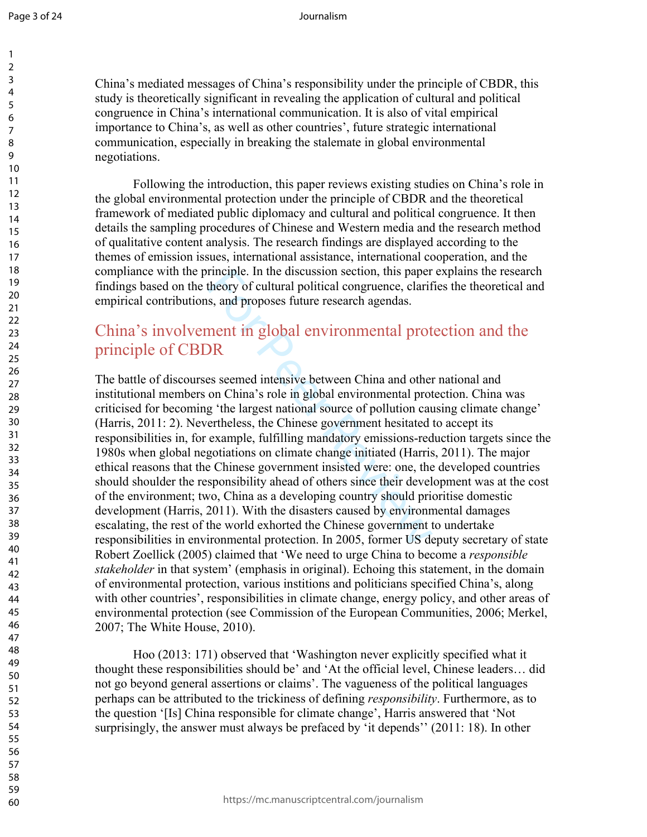#### Journalism

China's mediated messages of China's responsibility under the principle of CBDR, this study is theoretically significant in revealing the application of cultural and political congruence in China's international communication. It is also of vital empirical importance to China's, as well as other countries', future strategic international communication, especially in breaking the stalemate in global environmental negotiations.

Following the introduction, this paper reviews existing studies on China's role in the global environmental protection under the principle of CBDR and the theoretical framework of mediated public diplomacy and cultural and political congruence. It then details the sampling procedures of Chinese and Western media and the research method of qualitative content analysis. The research findings are displayed according to the themes of emission issues, international assistance, international cooperation, and the compliance with the principle. In the discussion section, this paper explains the research findings based on the theory of cultural political congruence, clarifies the theoretical and empirical contributions, and proposes future research agendas.

## China's involvement in global environmental protection and the principle of CBDR

rinciple. In the discussion section, this paper<br>theory of cultural political congruence, clarif<br>s, and proposes future research agendas.<br>ment in global environmental prot<br>or Peer Seemed intensive between China and other<br>on The battle of discourses seemed intensive between China and other national and institutional members on China's role in global environmental protection. China was criticised for becoming 'the largest national source of pollution causing climate change' (Harris, 2011: 2). Nevertheless, the Chinese government hesitated to accept its responsibilities in, for example, fulfilling mandatory emissions-reduction targets since the 1980s when global negotiations on climate change initiated (Harris, 2011). The major ethical reasons that the Chinese government insisted were: one, the developed countries should shoulder the responsibility ahead of others since their development was at the cost of the environment; two, China as a developing country should prioritise domestic development (Harris, 2011). With the disasters caused by environmental damages escalating, the rest of the world exhorted the Chinese government to undertake responsibilities in environmental protection. In 2005, former US deputy secretary of state Robert Zoellick (2005) claimed that 'We need to urge China to become a *responsible stakeholder* in that system' (emphasis in original). Echoing this statement, in the domain of environmental protection, various institions and politicians specified China's, along with other countries', responsibilities in climate change, energy policy, and other areas of environmental protection (see Commission of the European Communities, 2006; Merkel, 2007; The White House, 2010).

Hoo (2013: 171) observed that 'Washington never explicitly specified what it thought these responsibilities should be' and 'At the official level, Chinese leaders… did not go beyond general assertions or claims'. The vagueness of the political languages perhaps can be attributed to the trickiness of defining *responsibility*. Furthermore, as to the question '[Is] China responsible for climate change', Harris answered that 'Not surprisingly, the answer must always be prefaced by 'it depends'' (2011: 18). In other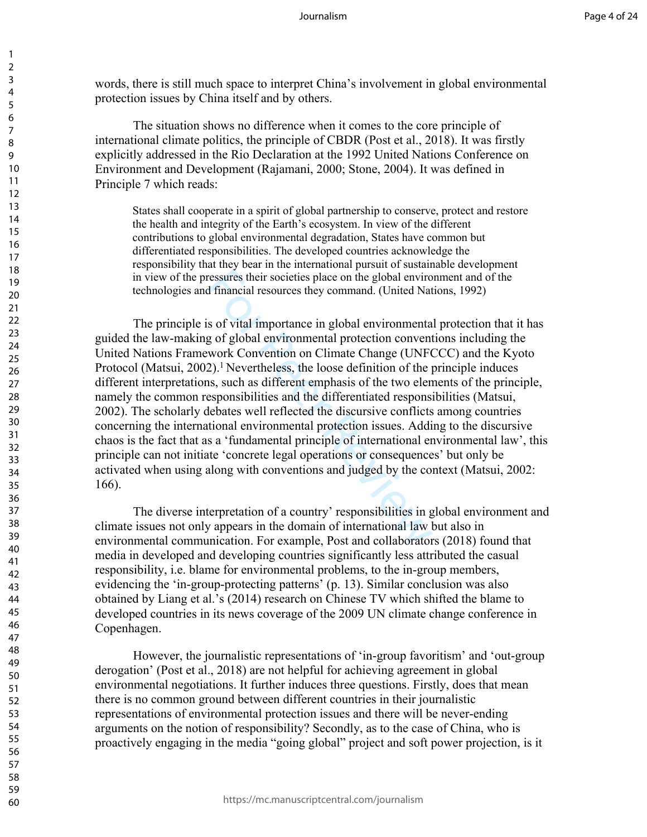words, there is still much space to interpret China's involvement in global environmental protection issues by China itself and by others.

The situation shows no difference when it comes to the core principle of international climate politics, the principle of CBDR (Post et al., 2018). It was firstly explicitly addressed in the Rio Declaration at the 1992 United Nations Conference on Environment and Development (Rajamani, 2000; Stone, 2004). It was defined in Principle 7 which reads:

States shall cooperate in a spirit of global partnership to conserve, protect and restore the health and integrity of the Earth's ecosystem. In view of the different contributions to global environmental degradation, States have common but differentiated responsibilities. The developed countries acknowledge the responsibility that they bear in the international pursuit of sustainable development in view of the pressures their societies place on the global environment and of the technologies and financial resources they command. (United Nations, 1992)

ressures their societies place on the global envirously<br>financial resources they command. (United Nat<br>s of vital importance in global environmenta<br>g of global environmental protection convent<br>work Convention on Climate Cha The principle is of vital importance in global environmental protection that it has guided the law-making of global environmental protection conventions including the United Nations Framework Convention on Climate Change (UNFCCC) and the Kyoto Protocol (Matsui,  $2002$ ).<sup>1</sup> Nevertheless, the loose definition of the principle induces different interpretations, such as different emphasis of the two elements of the principle, namely the common responsibilities and the differentiated responsibilities (Matsui, 2002). The scholarly debates well reflected the discursive conflicts among countries concerning the international environmental protection issues. Adding to the discursive chaos is the fact that as a 'fundamental principle of international environmental law', this principle can not initiate 'concrete legal operations or consequences' but only be activated when using along with conventions and judged by the context (Matsui, 2002: 166).

The diverse interpretation of a country' responsibilities in global environment and climate issues not only appears in the domain of international law but also in environmental communication. For example, Post and collaborators (2018) found that media in developed and developing countries significantly less attributed the casual responsibility, i.e. blame for environmental problems, to the in-group members, evidencing the 'in-group-protecting patterns' (p. 13). Similar conclusion was also obtained by Liang et al.'s (2014) research on Chinese TV which shifted the blame to developed countries in its news coverage of the 2009 UN climate change conference in Copenhagen.

However, the journalistic representations of 'in-group favoritism' and 'out-group derogation' (Post et al., 2018) are not helpful for achieving agreement in global environmental negotiations. It further induces three questions. Firstly, does that mean there is no common ground between different countries in their journalistic representations of environmental protection issues and there will be never-ending arguments on the notion of responsibility? Secondly, as to the case of China, who is proactively engaging in the media "going global" project and soft power projection, is it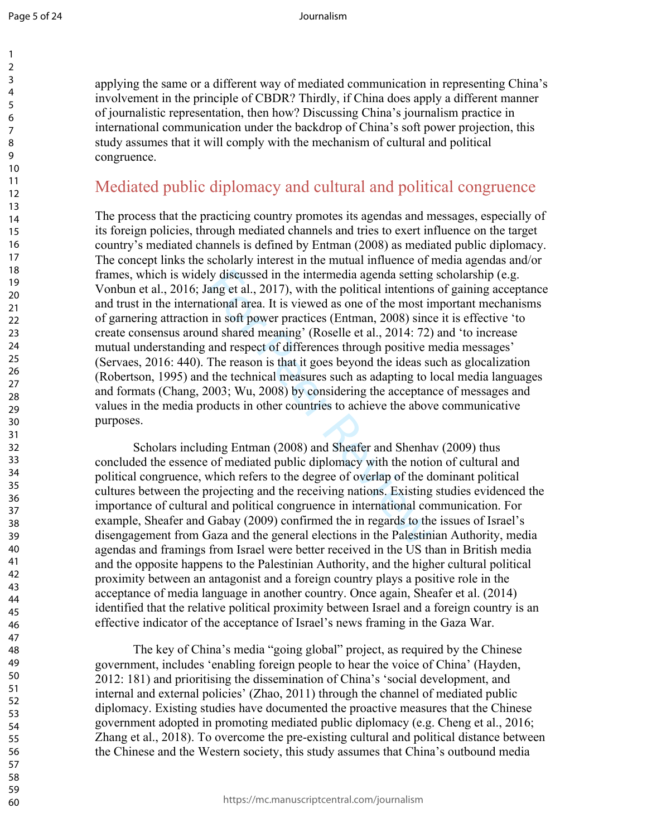applying the same or a different way of mediated communication in representing China's involvement in the principle of CBDR? Thirdly, if China does apply a different manner of journalistic representation, then how? Discussing China's journalism practice in international communication under the backdrop of China's soft power projection, this study assumes that it will comply with the mechanism of cultural and political congruence.

## Mediated public diplomacy and cultural and political congruence

ly discussed in the intermedia agenda setting<br>ang et al., 2017), with the political intentions<br>tional area. It is viewed as one of the most ir<br>in soft power practices (Entman, 2008) sinc<br>and shared meaning' (Roselle et al. The process that the practicing country promotes its agendas and messages, especially of its foreign policies, through mediated channels and tries to exert influence on the target country's mediated channels is defined by Entman (2008) as mediated public diplomacy. The concept links the scholarly interest in the mutual influence of media agendas and/or frames, which is widely discussed in the intermedia agenda setting scholarship (e.g. Vonbun et al., 2016; Jang et al., 2017), with the political intentions of gaining acceptance and trust in the international area. It is viewed as one of the most important mechanisms of garnering attraction in soft power practices (Entman, 2008) since it is effective 'to create consensus around shared meaning' (Roselle et al., 2014: 72) and 'to increase mutual understanding and respect of differences through positive media messages' (Servaes, 2016: 440). The reason is that it goes beyond the ideas such as glocalization (Robertson, 1995) and the technical measures such as adapting to local media languages and formats (Chang, 2003; Wu, 2008) by considering the acceptance of messages and values in the media products in other countries to achieve the above communicative purposes.

Scholars including Entman (2008) and Sheafer and Shenhav (2009) thus concluded the essence of mediated public diplomacy with the notion of cultural and political congruence, which refers to the degree of overlap of the dominant political cultures between the projecting and the receiving nations. Existing studies evidenced the importance of cultural and political congruence in international communication. For example, Sheafer and Gabay (2009) confirmed the in regards to the issues of Israel's disengagement from Gaza and the general elections in the Palestinian Authority, media agendas and framings from Israel were better received in the US than in British media and the opposite happens to the Palestinian Authority, and the higher cultural political proximity between an antagonist and a foreign country plays a positive role in the acceptance of media language in another country. Once again, Sheafer et al. (2014) identified that the relative political proximity between Israel and a foreign country is an effective indicator of the acceptance of Israel's news framing in the Gaza War.

The key of China's media "going global" project, as required by the Chinese government, includes 'enabling foreign people to hear the voice of China' (Hayden, 2012: 181) and prioritising the dissemination of China's 'social development, and internal and external policies' (Zhao, 2011) through the channel of mediated public diplomacy. Existing studies have documented the proactive measures that the Chinese government adopted in promoting mediated public diplomacy (e.g. Cheng et al., 2016; Zhang et al., 2018). To overcome the pre-existing cultural and political distance between the Chinese and the Western society, this study assumes that China's outbound media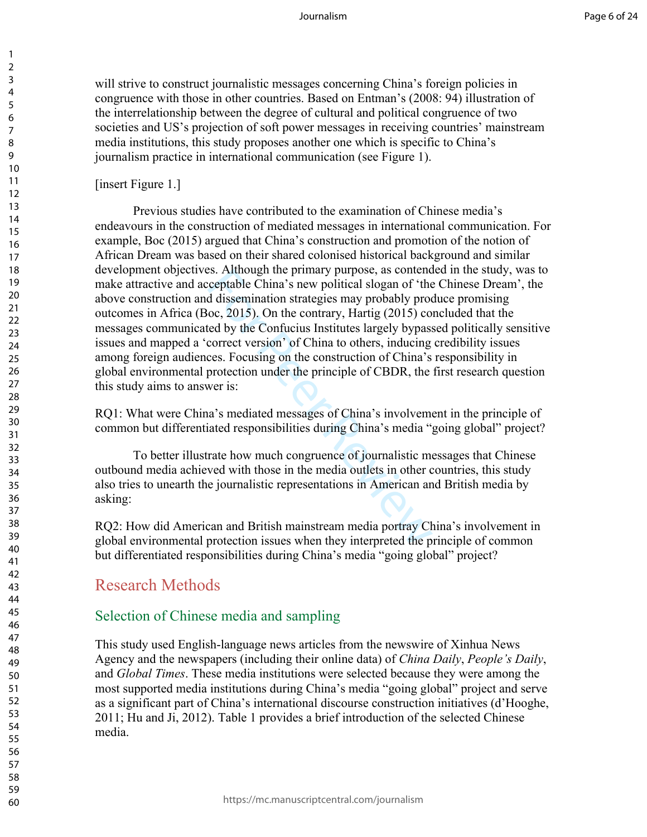will strive to construct journalistic messages concerning China's foreign policies in congruence with those in other countries. Based on Entman's (2008: 94) illustration of the interrelationship between the degree of cultural and political congruence of two societies and US's projection of soft power messages in receiving countries' mainstream media institutions, this study proposes another one which is specific to China's journalism practice in international communication (see Figure 1).

[insert Figure 1.]

S. Although the primary purpose, as contend<br>ceeptable China's new political slogan of 'the<br>d dissemination strategies may probably proce, 2015). On the contrary, Hartig (2015) co<br>oc, 2015). On the contrary, Hartig (2015) c Previous studies have contributed to the examination of Chinese media's endeavours in the construction of mediated messages in international communication. For example, Boc (2015) argued that China's construction and promotion of the notion of African Dream was based on their shared colonised historical background and similar development objectives. Although the primary purpose, as contended in the study, was to make attractive and acceptable China's new political slogan of 'the Chinese Dream', the above construction and dissemination strategies may probably produce promising outcomes in Africa (Boc, 2015). On the contrary, Hartig (2015) concluded that the messages communicated by the Confucius Institutes largely bypassed politically sensitive issues and mapped a 'correct version' of China to others, inducing credibility issues among foreign audiences. Focusing on the construction of China's responsibility in global environmental protection under the principle of CBDR, the first research question this study aims to answer is:

RQ1: What were China's mediated messages of China's involvement in the principle of common but differentiated responsibilities during China's media "going global" project?

To better illustrate how much congruence of journalistic messages that Chinese outbound media achieved with those in the media outlets in other countries, this study also tries to unearth the journalistic representations in American and British media by asking:

RQ2: How did American and British mainstream media portray China's involvement in global environmental protection issues when they interpreted the principle of common but differentiated responsibilities during China's media "going global" project?

## Research Methods

### Selection of Chinese media and sampling

This study used English-language news articles from the newswire of Xinhua News Agency and the newspapers (including their online data) of *China Daily*, *People's Daily*, and *Global Times*. These media institutions were selected because they were among the most supported media institutions during China's media "going global" project and serve as a significant part of China's international discourse construction initiatives (d'Hooghe, 2011; Hu and Ji, 2012). Table 1 provides a brief introduction of the selected Chinese media.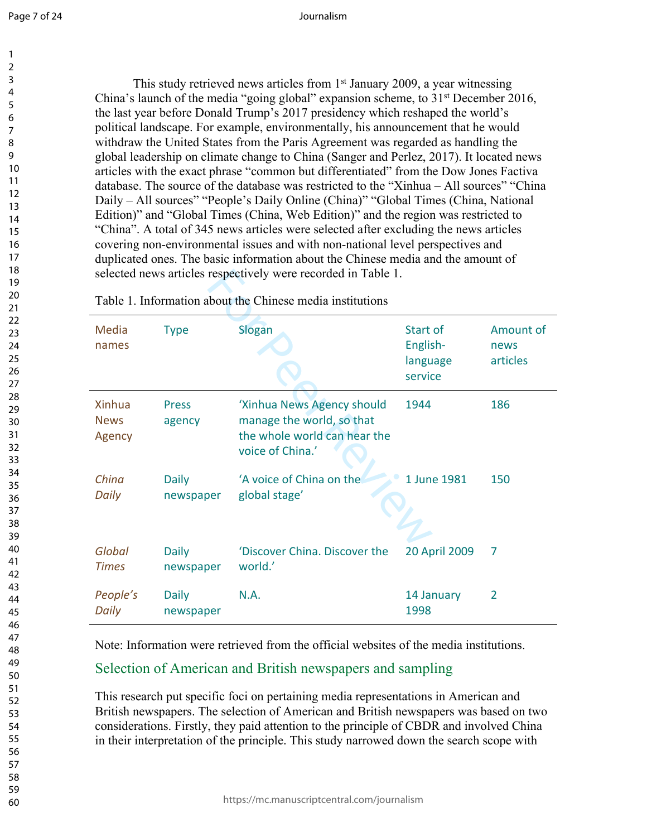This study retrieved news articles from 1st January 2009, a year witnessing China's launch of the media "going global" expansion scheme, to  $31<sup>st</sup>$  December 2016, the last year before Donald Trump's 2017 presidency which reshaped the world's political landscape. For example, environmentally, his announcement that he would withdraw the United States from the Paris Agreement was regarded as handling the global leadership on climate change to China (Sanger and Perlez, 2017). It located news articles with the exact phrase "common but differentiated" from the Dow Jones Factiva database. The source of the database was restricted to the "Xinhua – All sources" "China Daily – All sources" "People's Daily Online (China)" "Global Times (China, National Edition)" and "Global Times (China, Web Edition)" and the region was restricted to "China". A total of 345 news articles were selected after excluding the news articles covering non-environmental issues and with non-national level perspectives and duplicated ones. The basic information about the Chinese media and the amount of selected news articles respectively were recorded in Table 1.

| selected news articles respectively were recorded in Table 1. |                           |                                                                                                             |                                             |                               |  |  |  |
|---------------------------------------------------------------|---------------------------|-------------------------------------------------------------------------------------------------------------|---------------------------------------------|-------------------------------|--|--|--|
| Table 1. Information about the Chinese media institutions     |                           |                                                                                                             |                                             |                               |  |  |  |
| Media<br>names                                                | <b>Type</b>               | Slogan                                                                                                      | Start of<br>English-<br>language<br>service | Amount of<br>news<br>articles |  |  |  |
| Xinhua<br><b>News</b><br>Agency                               | Press<br>agency           | 'Xinhua News Agency should<br>manage the world, so that<br>the whole world can hear the<br>voice of China.' | 1944                                        | 186                           |  |  |  |
| China<br>Daily                                                | <b>Daily</b><br>newspaper | 'A voice of China on the<br>global stage'                                                                   | 1 June 1981                                 | 150                           |  |  |  |
| <b>Global</b><br><b>Times</b>                                 | Daily<br>newspaper        | 'Discover China. Discover the<br>world.'                                                                    | 20 April 2009                               | 7                             |  |  |  |
| People's<br>Daily                                             | <b>Daily</b><br>newspaper | N.A.                                                                                                        | 14 January<br>1998                          | $\overline{2}$                |  |  |  |

Note: Information were retrieved from the official websites of the media institutions.

### Selection of American and British newspapers and sampling

This research put specific foci on pertaining media representations in American and British newspapers. The selection of American and British newspapers was based on two considerations. Firstly, they paid attention to the principle of CBDR and involved China in their interpretation of the principle. This study narrowed down the search scope with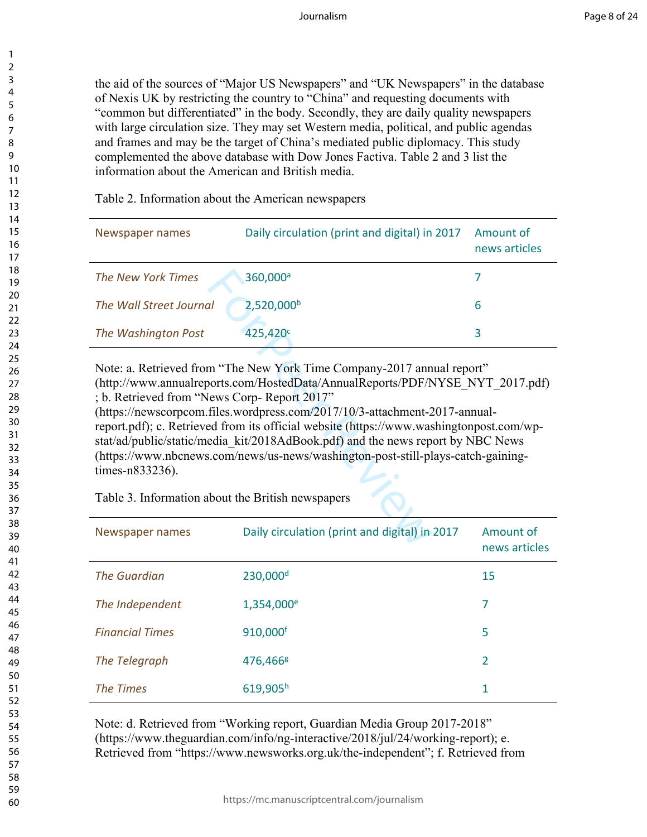the aid of the sources of "Major US Newspapers" and "UK Newspapers" in the database of Nexis UK by restricting the country to "China" and requesting documents with "common but differentiated" in the body. Secondly, they are daily quality newspapers with large circulation size. They may set Western media, political, and public agendas and frames and may be the target of China's mediated public diplomacy. This study complemented the above database with Dow Jones Factiva. Table 2 and 3 list the information about the American and British media.

Table 2. Information about the American newspapers

| Newspaper names                                                                                                      | Daily circulation (print and digital) in 2017                                                                                                                                                                                                                                                                                                                                                                                                                                                           | Amount of<br>news articles |
|----------------------------------------------------------------------------------------------------------------------|---------------------------------------------------------------------------------------------------------------------------------------------------------------------------------------------------------------------------------------------------------------------------------------------------------------------------------------------------------------------------------------------------------------------------------------------------------------------------------------------------------|----------------------------|
| The New York Times                                                                                                   | 360,000 <sup>a</sup>                                                                                                                                                                                                                                                                                                                                                                                                                                                                                    | 7                          |
| The Wall Street Journal                                                                                              | 2,520,000 <sup>b</sup>                                                                                                                                                                                                                                                                                                                                                                                                                                                                                  | 6                          |
| The Washington Post                                                                                                  | 425,420 <sup>c</sup>                                                                                                                                                                                                                                                                                                                                                                                                                                                                                    | 3                          |
| ; b. Retrieved from "News Corp- Report 2017"<br>times-n833236).<br>Table 3. Information about the British newspapers | Note: a. Retrieved from "The New York Time Company-2017 annual report"<br>(http://www.annualreports.com/HostedData/AnnualReports/PDF/NYSE NYT 2017.pdf)<br>(https://newscorpcom.files.wordpress.com/2017/10/3-attachment-2017-annual-<br>report.pdf); c. Retrieved from its official website (https://www.washingtonpost.com/wp-<br>stat/ad/public/static/media kit/2018AdBook.pdf) and the news report by NBC News<br>(https://www.nbcnews.com/news/us-news/washington-post-still-plays-catch-gaining- |                            |
| Newspaper names                                                                                                      | Daily circulation (print and digital) in 2017                                                                                                                                                                                                                                                                                                                                                                                                                                                           | Amount of<br>news articles |

| Newspaper names        | Daily circulation (print and digital) in 2017 | Amount of<br>news articles |
|------------------------|-----------------------------------------------|----------------------------|
| <b>The Guardian</b>    | 230,000 <sup>d</sup>                          | 15                         |
| The Independent        | $1,354,000^e$                                 | 7                          |
| <b>Financial Times</b> | 910,000f                                      | 5                          |
| The Telegraph          | 476,466 <sup>g</sup>                          | $\mathcal{P}$              |
| The Times              | 619,905h                                      | 1                          |

Note: d. Retrieved from "Working report, Guardian Media Group 2017-2018" (https://www.theguardian.com/info/ng-interactive/2018/jul/24/working-report); e. Retrieved from "https://www.newsworks.org.uk/the-independent"; f. Retrieved from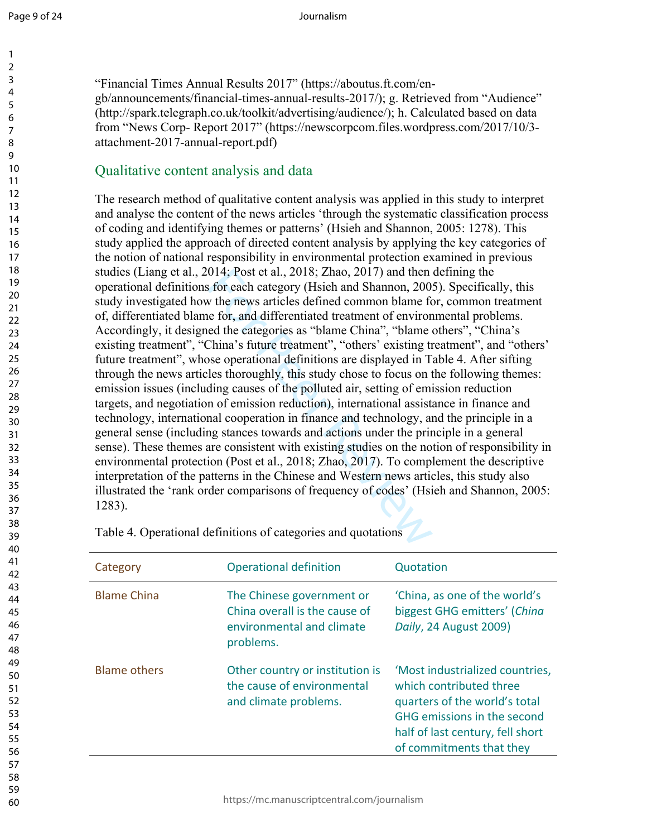"Financial Times Annual Results 2017" (https://aboutus.ft.com/engb/announcements/financial-times-annual-results-2017/); g. Retrieved from "Audience" (http://spark.telegraph.co.uk/toolkit/advertising/audience/); h. Calculated based on data from "News Corp- Report 2017" (https://newscorpcom.files.wordpress.com/2017/10/3 attachment-2017-annual-report.pdf)

### Qualitative content analysis and data

014; Post et al., 2018; Zhao, 2017) and then<br>s for each category (Hsieh and Shannon, 200.<br>v the news articles defined common blame for<br>e for, and differentiated treatment of environ<br>ed the categories as "blame China", "bl The research method of qualitative content analysis was applied in this study to interpret and analyse the content of the news articles 'through the systematic classification process of coding and identifying themes or patterns' (Hsieh and Shannon, 2005: 1278). This study applied the approach of directed content analysis by applying the key categories of the notion of national responsibility in environmental protection examined in previous studies (Liang et al., 2014; Post et al., 2018; Zhao, 2017) and then defining the operational definitions for each category (Hsieh and Shannon, 2005). Specifically, this study investigated how the news articles defined common blame for, common treatment of, differentiated blame for, and differentiated treatment of environmental problems. Accordingly, it designed the categories as "blame China", "blame others", "China's existing treatment", "China's future treatment", "others' existing treatment", and "others' future treatment", whose operational definitions are displayed in Table 4. After sifting through the news articles thoroughly, this study chose to focus on the following themes: emission issues (including causes of the polluted air, setting of emission reduction targets, and negotiation of emission reduction), international assistance in finance and technology, international cooperation in finance and technology, and the principle in a general sense (including stances towards and actions under the principle in a general sense). These themes are consistent with existing studies on the notion of responsibility in environmental protection (Post et al., 2018; Zhao, 2017). To complement the descriptive interpretation of the patterns in the Chinese and Western news articles, this study also illustrated the 'rank order comparisons of frequency of codes' (Hsieh and Shannon, 2005: 1283).

| Category            | <b>Operational definition</b>                                                                        | Quotation                                                                                                                                                                                         |
|---------------------|------------------------------------------------------------------------------------------------------|---------------------------------------------------------------------------------------------------------------------------------------------------------------------------------------------------|
| <b>Blame China</b>  | The Chinese government or<br>China overall is the cause of<br>environmental and climate<br>problems. | 'China, as one of the world's<br>biggest GHG emitters' (China<br>Daily, 24 August 2009)                                                                                                           |
| <b>Blame others</b> | Other country or institution is<br>the cause of environmental<br>and climate problems.               | 'Most industrialized countries,<br>which contributed three<br>quarters of the world's total<br><b>GHG emissions in the second</b><br>half of last century, fell short<br>of commitments that they |

Table 4. Operational definitions of categories and quotations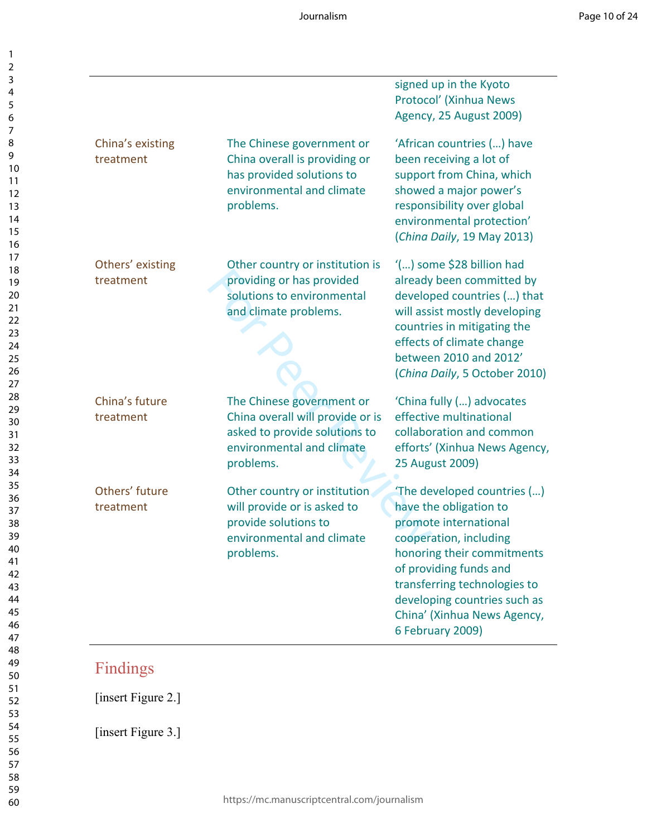|                               |                                                                                                                                          | signed up in the Kyoto<br>Protocol' (Xinhua News<br>Agency, 25 August 2009)                                                                                                                                                                                                         |
|-------------------------------|------------------------------------------------------------------------------------------------------------------------------------------|-------------------------------------------------------------------------------------------------------------------------------------------------------------------------------------------------------------------------------------------------------------------------------------|
| China's existing<br>treatment | The Chinese government or<br>China overall is providing or<br>has provided solutions to<br>environmental and climate<br>problems.        | 'African countries () have<br>been receiving a lot of<br>support from China, which<br>showed a major power's<br>responsibility over global<br>environmental protection'<br>(China Daily, 19 May 2013)                                                                               |
| Others' existing<br>treatment | Other country or institution is<br>providing or has provided<br>solutions to environmental<br>and climate problems.                      | '() some \$28 billion had<br>already been committed by<br>developed countries () that<br>will assist mostly developing<br>countries in mitigating the<br>effects of climate change<br>between 2010 and 2012'<br>(China Daily, 5 October 2010)                                       |
| China's future<br>treatment   | The Chinese government or<br>China overall will provide or is<br>asked to provide solutions to<br>environmental and climate<br>problems. | 'China fully () advocates<br>effective multinational<br>collaboration and common<br>efforts' (Xinhua News Agency,<br>25 August 2009)                                                                                                                                                |
| Others' future<br>treatment   | Other country or institution.<br>will provide or is asked to<br>provide solutions to<br>environmental and climate<br>problems.           | 'The developed countries ()<br>have the obligation to<br>promote international<br>cooperation, including<br>honoring their commitments<br>of providing funds and<br>transferring technologies to<br>developing countries such as<br>China' (Xinhua News Agency,<br>6 February 2009) |

## Findings

[insert Figure 2.]

[insert Figure 3.]

123456789

 $\mathbf{1}$  $\overline{2}$  $\mathsf{3}$  $\overline{\mathbf{4}}$ 5  $\boldsymbol{6}$  $\overline{7}$  $\,8\,$ 9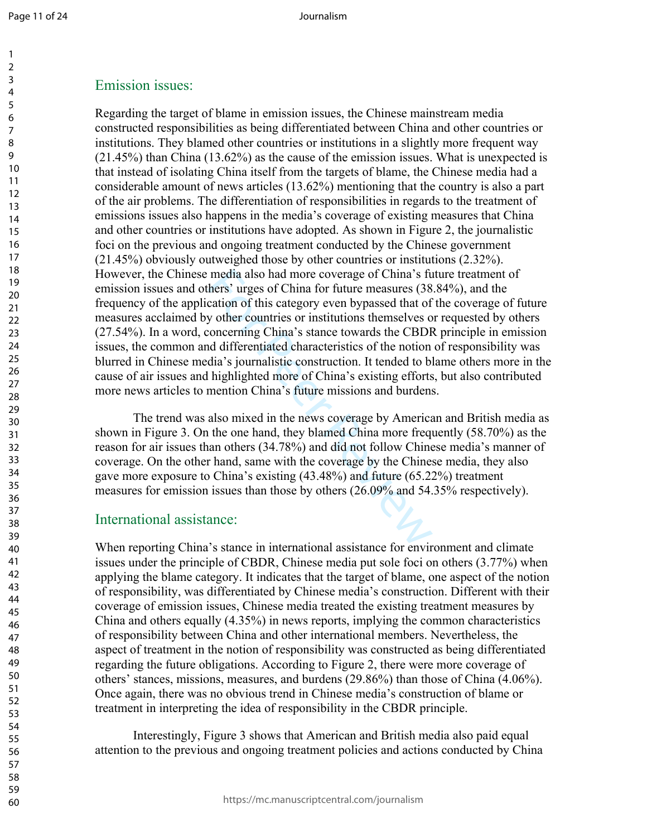### Emission issues:

media also had more coverage of China's fu<br>hers' urges of China for future measures (38<br>cation of this category even bypassed that of<br>y other countries or institutions themselves o<br>concerning China's stance towards the CBD Regarding the target of blame in emission issues, the Chinese mainstream media constructed responsibilities as being differentiated between China and other countries or institutions. They blamed other countries or institutions in a slightly more frequent way (21.45%) than China (13.62%) as the cause of the emission issues. What is unexpected is that instead of isolating China itself from the targets of blame, the Chinese media had a considerable amount of news articles (13.62%) mentioning that the country is also a part of the air problems. The differentiation of responsibilities in regards to the treatment of emissions issues also happens in the media's coverage of existing measures that China and other countries or institutions have adopted. As shown in Figure 2, the journalistic foci on the previous and ongoing treatment conducted by the Chinese government (21.45%) obviously outweighed those by other countries or institutions (2.32%). However, the Chinese media also had more coverage of China's future treatment of emission issues and others' urges of China for future measures (38.84%), and the frequency of the application of this category even bypassed that of the coverage of future measures acclaimed by other countries or institutions themselves or requested by others (27.54%). In a word, concerning China's stance towards the CBDR principle in emission issues, the common and differentiated characteristics of the notion of responsibility was blurred in Chinese media's journalistic construction. It tended to blame others more in the cause of air issues and highlighted more of China's existing efforts, but also contributed more news articles to mention China's future missions and burdens.

The trend was also mixed in the news coverage by American and British media as shown in Figure 3. On the one hand, they blamed China more frequently (58.70%) as the reason for air issues than others (34.78%) and did not follow Chinese media's manner of coverage. On the other hand, same with the coverage by the Chinese media, they also gave more exposure to China's existing (43.48%) and future (65.22%) treatment measures for emission issues than those by others (26.09% and 54.35% respectively).

### International assistance:

When reporting China's stance in international assistance for environment and climate issues under the principle of CBDR, Chinese media put sole foci on others (3.77%) when applying the blame category. It indicates that the target of blame, one aspect of the notion of responsibility, was differentiated by Chinese media's construction. Different with their coverage of emission issues, Chinese media treated the existing treatment measures by China and others equally (4.35%) in news reports, implying the common characteristics of responsibility between China and other international members. Nevertheless, the aspect of treatment in the notion of responsibility was constructed as being differentiated regarding the future obligations. According to Figure 2, there were more coverage of others' stances, missions, measures, and burdens (29.86%) than those of China (4.06%). Once again, there was no obvious trend in Chinese media's construction of blame or treatment in interpreting the idea of responsibility in the CBDR principle.

Interestingly, Figure 3 shows that American and British media also paid equal attention to the previous and ongoing treatment policies and actions conducted by China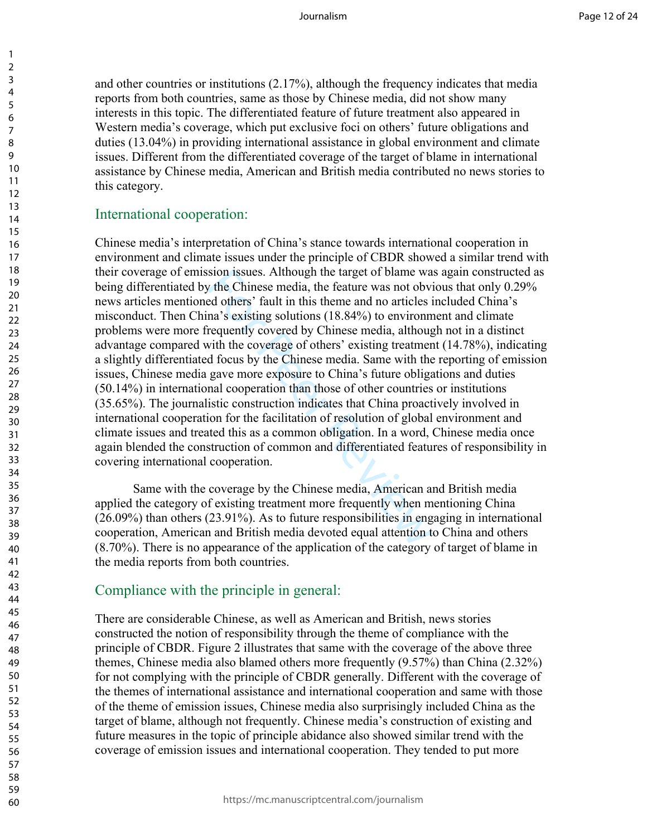and other countries or institutions (2.17%), although the frequency indicates that media reports from both countries, same as those by Chinese media, did not show many interests in this topic. The differentiated feature of future treatment also appeared in Western media's coverage, which put exclusive foci on others' future obligations and duties (13.04%) in providing international assistance in global environment and climate issues. Different from the differentiated coverage of the target of blame in international assistance by Chinese media, American and British media contributed no news stories to this category.

#### International cooperation:

sion issues. Although the target of blame wa<br>  $\gamma$  the Chinese media, the feature was not obvi-<br>
ed others' fault in this theme and no articles i<br>
ma's existing solutions (18.84%) to environm<br>
requently covered by Chinese Chinese media's interpretation of China's stance towards international cooperation in environment and climate issues under the principle of CBDR showed a similar trend with their coverage of emission issues. Although the target of blame was again constructed as being differentiated by the Chinese media, the feature was not obvious that only 0.29% news articles mentioned others' fault in this theme and no articles included China's misconduct. Then China's existing solutions (18.84%) to environment and climate problems were more frequently covered by Chinese media, although not in a distinct advantage compared with the coverage of others' existing treatment (14.78%), indicating a slightly differentiated focus by the Chinese media. Same with the reporting of emission issues, Chinese media gave more exposure to China's future obligations and duties (50.14%) in international cooperation than those of other countries or institutions (35.65%). The journalistic construction indicates that China proactively involved in international cooperation for the facilitation of resolution of global environment and climate issues and treated this as a common obligation. In a word, Chinese media once again blended the construction of common and differentiated features of responsibility in covering international cooperation.

Same with the coverage by the Chinese media, American and British media applied the category of existing treatment more frequently when mentioning China (26.09%) than others (23.91%). As to future responsibilities in engaging in international cooperation, American and British media devoted equal attention to China and others (8.70%). There is no appearance of the application of the category of target of blame in the media reports from both countries.

#### Compliance with the principle in general:

There are considerable Chinese, as well as American and British, news stories constructed the notion of responsibility through the theme of compliance with the principle of CBDR. Figure 2 illustrates that same with the coverage of the above three themes, Chinese media also blamed others more frequently (9.57%) than China (2.32%) for not complying with the principle of CBDR generally. Different with the coverage of the themes of international assistance and international cooperation and same with those of the theme of emission issues, Chinese media also surprisingly included China as the target of blame, although not frequently. Chinese media's construction of existing and future measures in the topic of principle abidance also showed similar trend with the coverage of emission issues and international cooperation. They tended to put more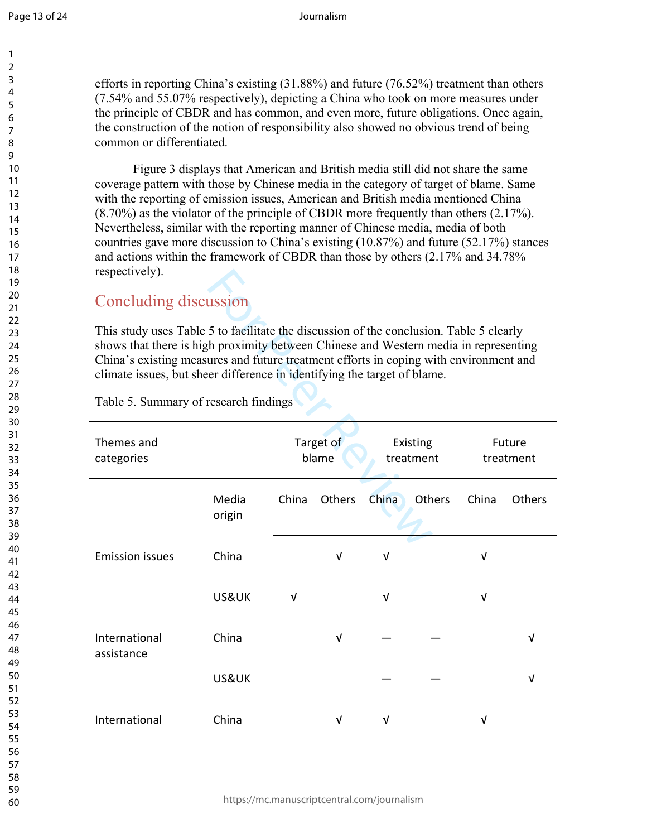efforts in reporting China's existing (31.88%) and future (76.52%) treatment than others (7.54% and 55.07% respectively), depicting a China who took on more measures under the principle of CBDR and has common, and even more, future obligations. Once again, the construction of the notion of responsibility also showed no obvious trend of being common or differentiated.

Figure 3 displays that American and British media still did not share the same coverage pattern with those by Chinese media in the category of target of blame. Same with the reporting of emission issues, American and British media mentioned China (8.70%) as the violator of the principle of CBDR more frequently than others (2.17%). Nevertheless, similar with the reporting manner of Chinese media, media of both countries gave more discussion to China's existing (10.87%) and future (52.17%) stances and actions within the framework of CBDR than those by others (2.17% and 34.78% respectively).

## Concluding discussion

| respectively).                                                                                                                                                                                                                                                                                                                                                                                |                 |            |                    |                       |        |            |                     |  |
|-----------------------------------------------------------------------------------------------------------------------------------------------------------------------------------------------------------------------------------------------------------------------------------------------------------------------------------------------------------------------------------------------|-----------------|------------|--------------------|-----------------------|--------|------------|---------------------|--|
| Concluding discussion                                                                                                                                                                                                                                                                                                                                                                         |                 |            |                    |                       |        |            |                     |  |
| This study uses Table 5 to facilitate the discussion of the conclusion. Table 5 clearly<br>shows that there is high proximity between Chinese and Western media in representing<br>China's existing measures and future treatment efforts in coping with environment and<br>climate issues, but sheer difference in identifying the target of blame.<br>Table 5. Summary of research findings |                 |            |                    |                       |        |            |                     |  |
| Themes and<br>categories                                                                                                                                                                                                                                                                                                                                                                      |                 |            | Target of<br>blame | Existing<br>treatment |        |            | Future<br>treatment |  |
|                                                                                                                                                                                                                                                                                                                                                                                               | Media<br>origin | China      | Others             | China                 | Others | China      | Others              |  |
| <b>Emission issues</b>                                                                                                                                                                                                                                                                                                                                                                        | China           |            | V                  | $\sqrt{ }$            |        | V          |                     |  |
|                                                                                                                                                                                                                                                                                                                                                                                               | US&UK           | $\sqrt{ }$ |                    | $\sqrt{ }$            |        | $\sqrt{ }$ |                     |  |
| International<br>assistance                                                                                                                                                                                                                                                                                                                                                                   | China           |            | V                  |                       |        |            | v                   |  |
|                                                                                                                                                                                                                                                                                                                                                                                               | US&UK           |            |                    |                       |        |            | v                   |  |
| International                                                                                                                                                                                                                                                                                                                                                                                 | China           |            | V                  | V                     |        | V          |                     |  |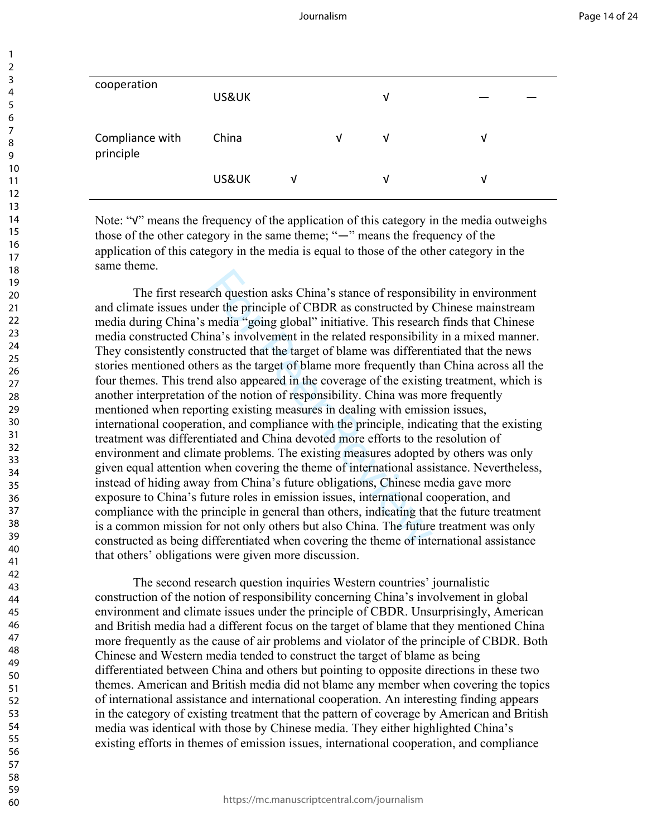| cooperation                  | US&UK |   |   | V          |   |
|------------------------------|-------|---|---|------------|---|
| Compliance with<br>principle | China |   | V | $\sqrt{ }$ | V |
|                              | US&UK | V |   | V          | V |

Note: "√" means the frequency of the application of this category in the media outweighs those of the other category in the same theme; "—" means the frequency of the application of this category in the media is equal to those of the other category in the same theme.

rch question asks China's stance of responsit<br>ler the principle of CBDR as constructed by  $\theta$ <br>media "going global" initiative. This researc<br>ina's involvement in the related responsibility<br>structed that the target of blame The first research question asks China's stance of responsibility in environment and climate issues under the principle of CBDR as constructed by Chinese mainstream media during China's media "going global" initiative. This research finds that Chinese media constructed China's involvement in the related responsibility in a mixed manner. They consistently constructed that the target of blame was differentiated that the news stories mentioned others as the target of blame more frequently than China across all the four themes. This trend also appeared in the coverage of the existing treatment, which is another interpretation of the notion of responsibility. China was more frequently mentioned when reporting existing measures in dealing with emission issues, international cooperation, and compliance with the principle, indicating that the existing treatment was differentiated and China devoted more efforts to the resolution of environment and climate problems. The existing measures adopted by others was only given equal attention when covering the theme of international assistance. Nevertheless, instead of hiding away from China's future obligations, Chinese media gave more exposure to China's future roles in emission issues, international cooperation, and compliance with the principle in general than others, indicating that the future treatment is a common mission for not only others but also China. The future treatment was only constructed as being differentiated when covering the theme of international assistance that others' obligations were given more discussion.

The second research question inquiries Western countries' journalistic construction of the notion of responsibility concerning China's involvement in global environment and climate issues under the principle of CBDR. Unsurprisingly, American and British media had a different focus on the target of blame that they mentioned China more frequently as the cause of air problems and violator of the principle of CBDR. Both Chinese and Western media tended to construct the target of blame as being differentiated between China and others but pointing to opposite directions in these two themes. American and British media did not blame any member when covering the topics of international assistance and international cooperation. An interesting finding appears in the category of existing treatment that the pattern of coverage by American and British media was identical with those by Chinese media. They either highlighted China's existing efforts in themes of emission issues, international cooperation, and compliance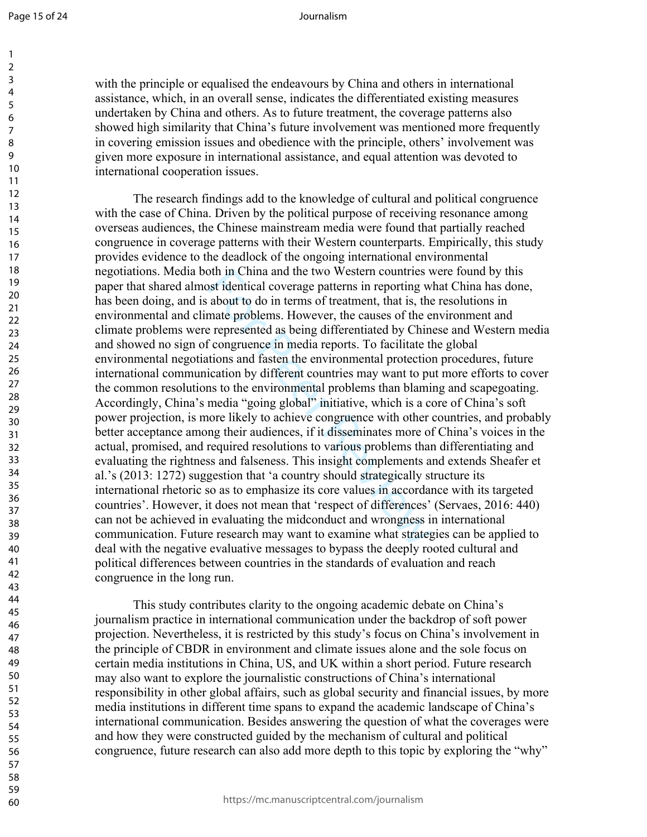#### Journalism

with the principle or equalised the endeavours by China and others in international assistance, which, in an overall sense, indicates the differentiated existing measures undertaken by China and others. As to future treatment, the coverage patterns also showed high similarity that China's future involvement was mentioned more frequently in covering emission issues and obedience with the principle, others' involvement was given more exposure in international assistance, and equal attention was devoted to international cooperation issues.

of the in China and the two Western countries w<br>sost identical coverage patterns in reporting w.<br>about to do in terms of treatment, that is, the<br>mate problems. However, the causes of the e<br>represented as being differentiat The research findings add to the knowledge of cultural and political congruence with the case of China. Driven by the political purpose of receiving resonance among overseas audiences, the Chinese mainstream media were found that partially reached congruence in coverage patterns with their Western counterparts. Empirically, this study provides evidence to the deadlock of the ongoing international environmental negotiations. Media both in China and the two Western countries were found by this paper that shared almost identical coverage patterns in reporting what China has done, has been doing, and is about to do in terms of treatment, that is, the resolutions in environmental and climate problems. However, the causes of the environment and climate problems were represented as being differentiated by Chinese and Western media and showed no sign of congruence in media reports. To facilitate the global environmental negotiations and fasten the environmental protection procedures, future international communication by different countries may want to put more efforts to cover the common resolutions to the environmental problems than blaming and scapegoating. Accordingly, China's media "going global" initiative, which is a core of China's soft power projection, is more likely to achieve congruence with other countries, and probably better acceptance among their audiences, if it disseminates more of China's voices in the actual, promised, and required resolutions to various problems than differentiating and evaluating the rightness and falseness. This insight complements and extends Sheafer et al.'s (2013: 1272) suggestion that 'a country should strategically structure its international rhetoric so as to emphasize its core values in accordance with its targeted countries'. However, it does not mean that 'respect of differences' (Servaes, 2016: 440) can not be achieved in evaluating the midconduct and wrongness in international communication. Future research may want to examine what strategies can be applied to deal with the negative evaluative messages to bypass the deeply rooted cultural and political differences between countries in the standards of evaluation and reach congruence in the long run.

This study contributes clarity to the ongoing academic debate on China's journalism practice in international communication under the backdrop of soft power projection. Nevertheless, it is restricted by this study's focus on China's involvement in the principle of CBDR in environment and climate issues alone and the sole focus on certain media institutions in China, US, and UK within a short period. Future research may also want to explore the journalistic constructions of China's international responsibility in other global affairs, such as global security and financial issues, by more media institutions in different time spans to expand the academic landscape of China's international communication. Besides answering the question of what the coverages were and how they were constructed guided by the mechanism of cultural and political congruence, future research can also add more depth to this topic by exploring the "why"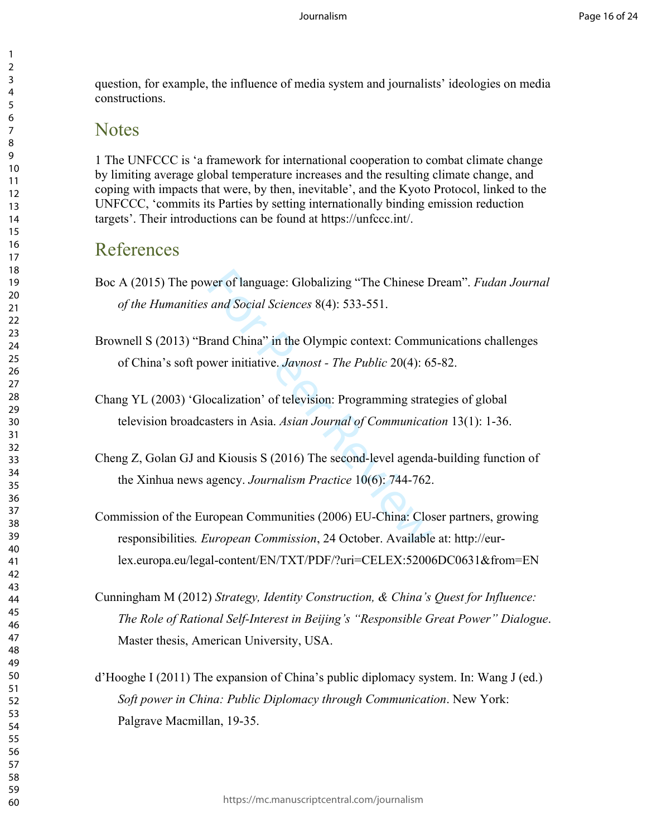question, for example, the influence of media system and journalists' ideologies on media constructions.

### **Notes**

1 The UNFCCC is 'a framework for international cooperation to combat climate change by limiting average global temperature increases and the resulting climate change, and coping with impacts that were, by then, inevitable', and the Kyoto Protocol, linked to the UNFCCC, 'commits its Parties by setting internationally binding emission reduction targets'. Their introductions can be found at https://unfccc.int/.

## References

- Boc A (2015) The power of language: Globalizing "The Chinese Dream". *Fudan Journal of the Humanities and Social Sciences* 8(4): 533-551.
- Brownell S (2013) "Brand China" in the Olympic context: Communications challenges of China's soft power initiative. *Javnost - The Public* 20(4): 65-82.

Chang YL (2003) 'Glocalization' of television: Programming strategies of global television broadcasters in Asia. *Asian Journal of Communication* 13(1): 1-36.

Cheng Z, Golan GJ and Kiousis S (2016) The second-level agenda-building function of the Xinhua news agency. *Journalism Practice* 10(6): 744-762.

wer of language: Globalizing "The Chinese D<br>
and Social Sciences 8(4): 533-551.<br>
France China" in the Olympic context: Commu<br>
wer initiative. Javnost - The Public 20(4): 6:<br>
Socalization' of television: Programming strat<br> Commission of the European Communities (2006) EU-China: Closer partners, growing responsibilities*. European Commission*, 24 October. Available at: http://eurlex.europa.eu/legal-content/EN/TXT/PDF/?uri=CELEX:52006DC0631&from=EN

Cunningham M (2012) *Strategy, Identity Construction, & China's Quest for Influence: The Role of Rational Self-Interest in Beijing's "Responsible Great Power" Dialogue*. Master thesis, American University, USA.

d'Hooghe I (2011) The expansion of China's public diplomacy system. In: Wang J (ed.) *Soft power in China: Public Diplomacy through Communication*. New York: Palgrave Macmillan, 19-35.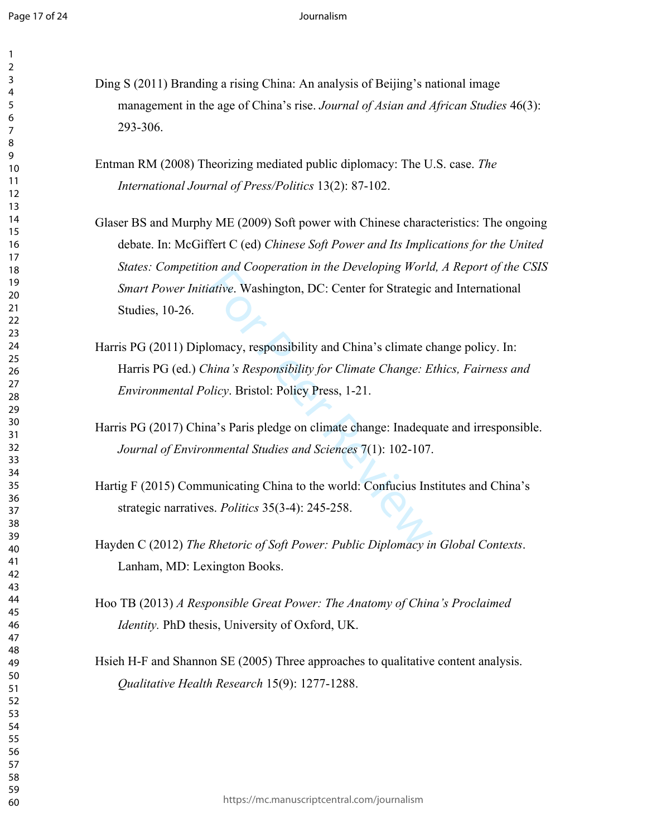#### Journalism

| 1        |                                                                                        |
|----------|----------------------------------------------------------------------------------------|
| 2<br>3   | Ding S (2011) Branding a rising China: An analysis of Beijing's national image         |
| 4<br>5   | management in the age of China's rise. Journal of Asian and African Studies 46(3):     |
| 6<br>7   | 293-306.                                                                               |
| 8        |                                                                                        |
| 9<br>10  | Entman RM (2008) Theorizing mediated public diplomacy: The U.S. case. The              |
| 11       | International Journal of Press/Politics 13(2): 87-102.                                 |
| 12<br>13 |                                                                                        |
| 14       | Glaser BS and Murphy ME (2009) Soft power with Chinese characteristics: The ongoing    |
| 15<br>16 | debate. In: McGiffert C (ed) Chinese Soft Power and Its Implications for the United    |
| 17<br>18 | States: Competition and Cooperation in the Developing World, A Report of the CSIS      |
| 19       | Smart Power Initiative. Washington, DC: Center for Strategic and International         |
| 20<br>21 | Studies, 10-26.                                                                        |
| 22       |                                                                                        |
| 23<br>24 | Harris PG (2011) Diplomacy, responsibility and China's climate change policy. In:      |
| 25       |                                                                                        |
| 26<br>27 | Harris PG (ed.) China's Responsibility for Climate Change: Ethics, Fairness and        |
| 28       | <i>Environmental Policy. Bristol: Policy Press, 1-21.</i>                              |
| 29<br>30 |                                                                                        |
| 31       | Harris PG (2017) China's Paris pledge on climate change: Inadequate and irresponsible. |
| 32<br>33 | Journal of Environmental Studies and Sciences 7(1): 102-107.                           |
| 34       |                                                                                        |
| 35<br>36 | Hartig F (2015) Communicating China to the world: Confucius Institutes and China's     |
| 37       | strategic narratives. Politics 35(3-4): 245-258.                                       |
| 38<br>39 |                                                                                        |
| 40       | Hayden C (2012) The Rhetoric of Soft Power: Public Diplomacy in Global Contexts.       |
| 41<br>42 | Lanham, MD: Lexington Books.                                                           |
| 43       |                                                                                        |
| 44<br>45 | Hoo TB (2013) A Responsible Great Power: The Anatomy of China's Proclaimed             |
| 46       | <i>Identity</i> . PhD thesis, University of Oxford, UK.                                |
| 47<br>48 |                                                                                        |
| 49       | Hsieh H-F and Shannon SE (2005) Three approaches to qualitative content analysis.      |
| 50<br>51 | Qualitative Health Research 15(9): 1277-1288.                                          |
| 52       |                                                                                        |
| 53<br>54 |                                                                                        |
| 55       |                                                                                        |
| 56<br>57 |                                                                                        |
| 58       |                                                                                        |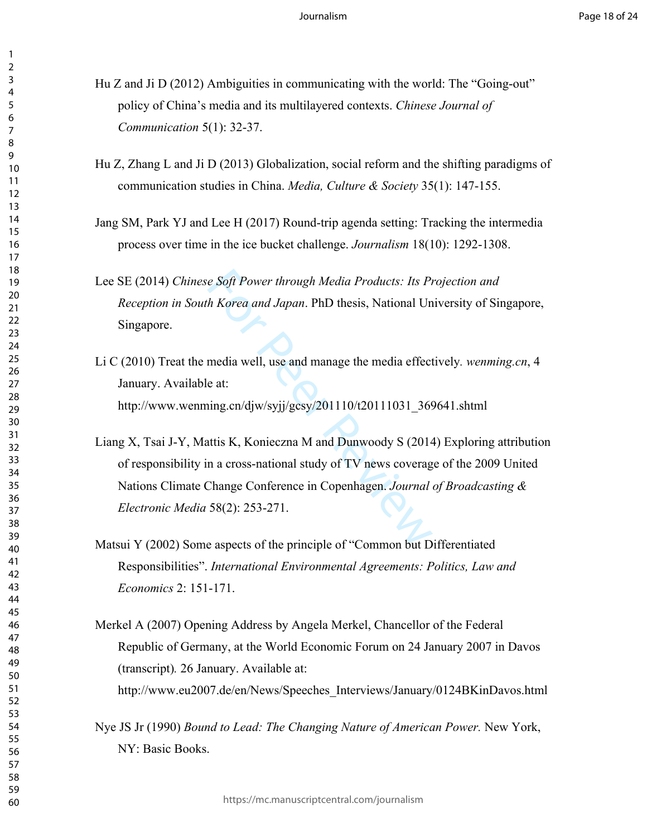- Hu Z and Ji D (2012) Ambiguities in communicating with the world: The "Going-out" policy of China's media and its multilayered contexts. *Chinese Journal of Communication* 5(1): 32-37.
- Hu Z, Zhang L and Ji D (2013) Globalization, social reform and the shifting paradigms of communication studies in China. *Media, Culture & Society* 35(1): 147-155.
- Jang SM, Park YJ and Lee H (2017) Round-trip agenda setting: Tracking the intermedia process over time in the ice bucket challenge. *Journalism* 18(10): 1292-1308.
- Lee SE (2014) *Chinese Soft Power through Media Products: Its Projection and Reception in South Korea and Japan*. PhD thesis, National University of Singapore, Singapore.
- Li C (2010) Treat the media well, use and manage the media effectively*. wenming.cn*, 4 January. Available at: http://www.wenming.cn/djw/syjj/gcsy/201110/t20111031\_369641.shtml
- e Soft Power through Media Products: Its Pr<br>h Korea and Japan. PhD thesis, National Un<br>media well, use and manage the media effect<br>e at:<br>iing.cn/djw/syjj/gcsy/201110/t20111031\_369<br>attis K, Konieczna M and Dunwoody S (2014<br> Liang X, Tsai J-Y, Mattis K, Konieczna M and Dunwoody S (2014) Exploring attribution of responsibility in a cross-national study of TV news coverage of the 2009 United Nations Climate Change Conference in Copenhagen. *Journal of Broadcasting & Electronic Media* 58(2): 253-271.
- Matsui Y (2002) Some aspects of the principle of "Common but Differentiated Responsibilities". *International Environmental Agreements: Politics, Law and Economics* 2: 151-171.
- Merkel A (2007) Opening Address by Angela Merkel, Chancellor of the Federal Republic of Germany, at the World Economic Forum on 24 January 2007 in Davos (transcript)*.* 26 January. Available at: http://www.eu2007.de/en/News/Speeches\_Interviews/January/0124BKinDavos.html
- Nye JS Jr (1990) *Bound to Lead: The Changing Nature of American Power.* New York, NY: Basic Books.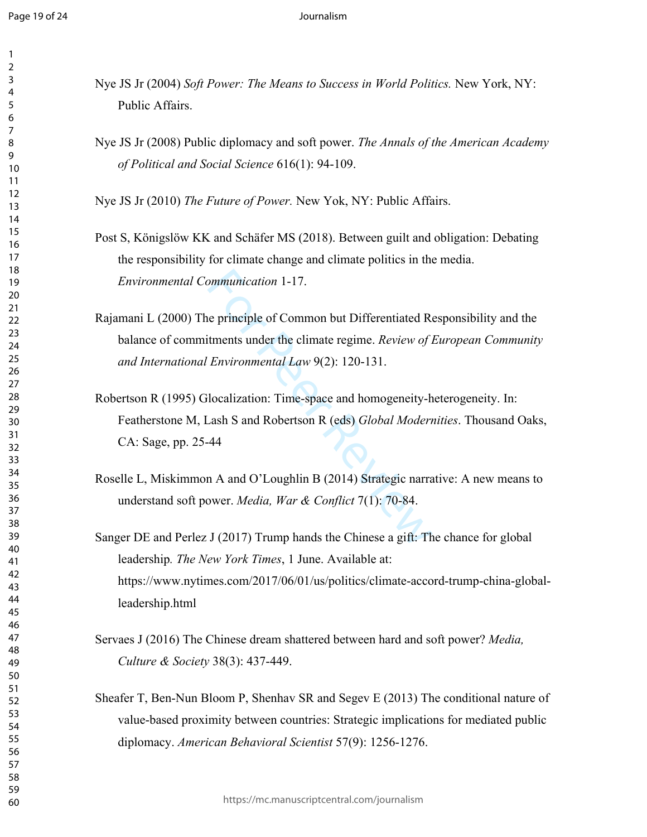$\mathbf{1}$  $\overline{2}$  $\mathsf 3$  $\overline{7}$  $\,8\,$ 

#### Journalism

| Nye JS Jr (2004) Soft Power: The Means to Success in World Politics. New York, NY:<br>Public Affairs.                                                                                                                                                |
|------------------------------------------------------------------------------------------------------------------------------------------------------------------------------------------------------------------------------------------------------|
| Nye JS Jr (2008) Public diplomacy and soft power. The Annals of the American Academy<br>of Political and Social Science 616(1): 94-109.                                                                                                              |
| Nye JS Jr (2010) The Future of Power. New Yok, NY: Public Affairs.                                                                                                                                                                                   |
| Post S, Königslöw KK and Schäfer MS (2018). Between guilt and obligation: Debating<br>the responsibility for climate change and climate politics in the media.<br><b>Environmental Communication 1-17.</b>                                           |
| Rajamani L (2000) The principle of Common but Differentiated Responsibility and the<br>balance of commitments under the climate regime. Review of European Community<br>and International Environmental Law 9(2): 120-131.                           |
| Robertson R (1995) Glocalization: Time-space and homogeneity-heterogeneity. In:<br>Featherstone M, Lash S and Robertson R (eds) Global Modernities. Thousand Oaks,<br>CA: Sage, pp. 25-44                                                            |
| Roselle L, Miskimmon A and O'Loughlin B (2014) Strategic narrative: A new means to<br>understand soft power. Media, War & Conflict 7(1): 70-84.                                                                                                      |
| Sanger DE and Perlez J (2017) Trump hands the Chinese a gift. The chance for global<br>leadership. The New York Times, 1 June. Available at:<br>https://www.nytimes.com/2017/06/01/us/politics/climate-accord-trump-china-global-<br>leadership.html |
| Servaes J (2016) The Chinese dream shattered between hard and soft power? Media,<br>Culture & Society 38(3): 437-449.                                                                                                                                |
| Sheafer T, Ben-Nun Bloom P, Shenhav SR and Segev E (2013) The conditional nature of<br>value-based proximity between countries: Strategic implications for mediated public<br>diplomacy. American Behavioral Scientist 57(9): 1256-1276.             |
|                                                                                                                                                                                                                                                      |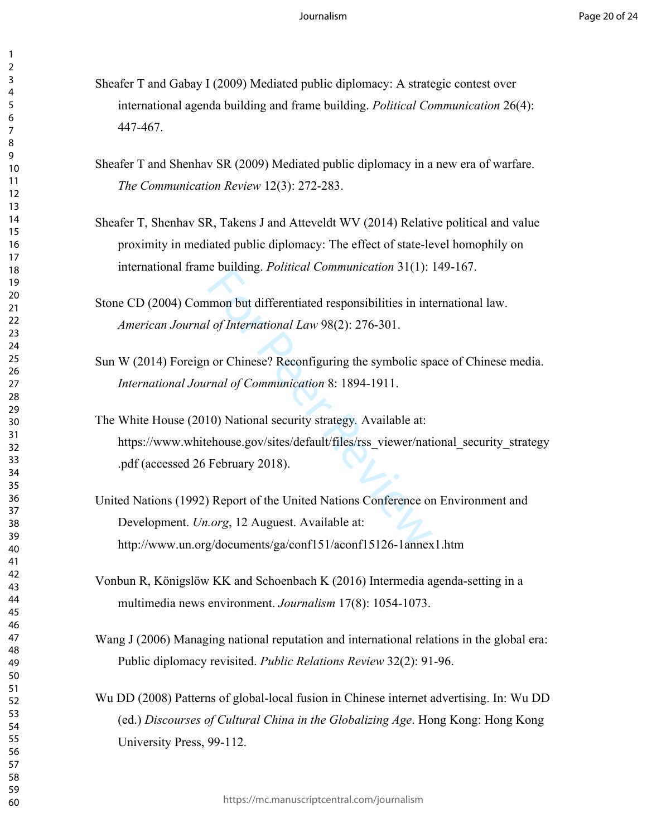- Sheafer T and Gabay I (2009) Mediated public diplomacy: A strategic contest over international agenda building and frame building. *Political Communication* 26(4): 447-467.
- Sheafer T and Shenhav SR (2009) Mediated public diplomacy in a new era of warfare. *The Communication Review* 12(3): 272-283.
- Sheafer T, Shenhav SR, Takens J and Atteveldt WV (2014) Relative political and value proximity in mediated public diplomacy: The effect of state-level homophily on international frame building. *Political Communication* 31(1): 149-167.

Stone CD (2004) Common but differentiated responsibilities in international law. *American Journal of International Law* 98(2): 276-301.

- Sun W (2014) Foreign or Chinese? Reconfiguring the symbolic space of Chinese media. *International Journal of Communication* 8: 1894-1911.
- Formal differentiated responsibilities in interaction 51(1).<br>
In of International Law 98(2): 276-301.<br>
In or Chinese? Reconfiguring the symbolic spanner of Communication 8: 1894-1911.<br>
In the Symbolic spanner of Communicat The White House (2010) National security strategy*.* Available at: https://www.whitehouse.gov/sites/default/files/rss\_viewer/national\_security\_strategy .pdf (accessed 26 February 2018).
- United Nations (1992) Report of the United Nations Conference on Environment and Development. *Un.org*, 12 Auguest. Available at: http://www.un.org/documents/ga/conf151/aconf15126-1annex1.htm
- Vonbun R, Königslöw KK and Schoenbach K (2016) Intermedia agenda-setting in a multimedia news environment. *Journalism* 17(8): 1054-1073.
- Wang J (2006) Managing national reputation and international relations in the global era: Public diplomacy revisited. *Public Relations Review* 32(2): 91-96.
- Wu DD (2008) Patterns of global-local fusion in Chinese internet advertising. In: Wu DD (ed.) *Discourses of Cultural China in the Globalizing Age*. Hong Kong: Hong Kong University Press, 99-112.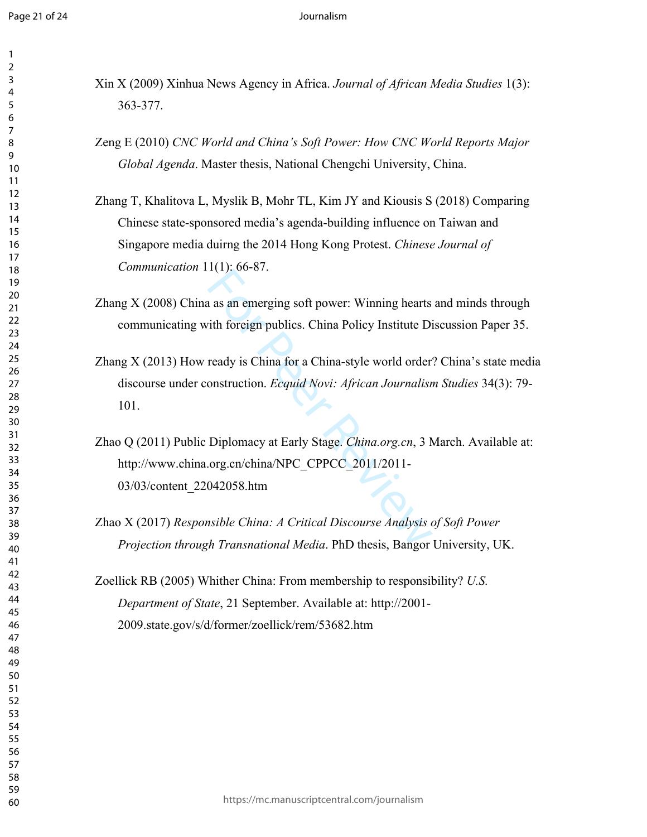#### Journalism

| Zeng E (2010) CNC World and China's Soft Power: How CNC World Reports Major<br>Global Agenda. Master thesis, National Chengchi University, China. |
|---------------------------------------------------------------------------------------------------------------------------------------------------|
| Zhang T, Khalitova L, Myslik B, Mohr TL, Kim JY and Kiousis S (2018) Comparing                                                                    |
| Chinese state-sponsored media's agenda-building influence on Taiwan and                                                                           |
| Singapore media duirng the 2014 Hong Kong Protest. Chinese Journal of                                                                             |
| Communication $11(1)$ : 66-87.                                                                                                                    |
|                                                                                                                                                   |
| Zhang X (2008) China as an emerging soft power: Winning hearts and minds through                                                                  |
| communicating with foreign publics. China Policy Institute Discussion Paper 35.                                                                   |
| Zhang X (2013) How ready is China for a China-style world order? China's state media                                                              |
| discourse under construction. Ecquid Novi: African Journalism Studies 34(3): 79-<br>101.                                                          |
| Zhao Q (2011) Public Diplomacy at Early Stage. China.org.cn, 3 March. Available at:                                                               |
| http://www.china.org.cn/china/NPC_CPPCC_2011/2011-                                                                                                |
| 03/03/content_22042058.htm                                                                                                                        |
| Zhao X (2017) Responsible China: A Critical Discourse Analysis of Soft Power                                                                      |
| Projection through Transnational Media. PhD thesis, Bangor University, UK.                                                                        |
| Zoellick RB (2005) Whither China: From membership to responsibility? U.S.                                                                         |
| Department of State, 21 September. Available at: http://2001-                                                                                     |
|                                                                                                                                                   |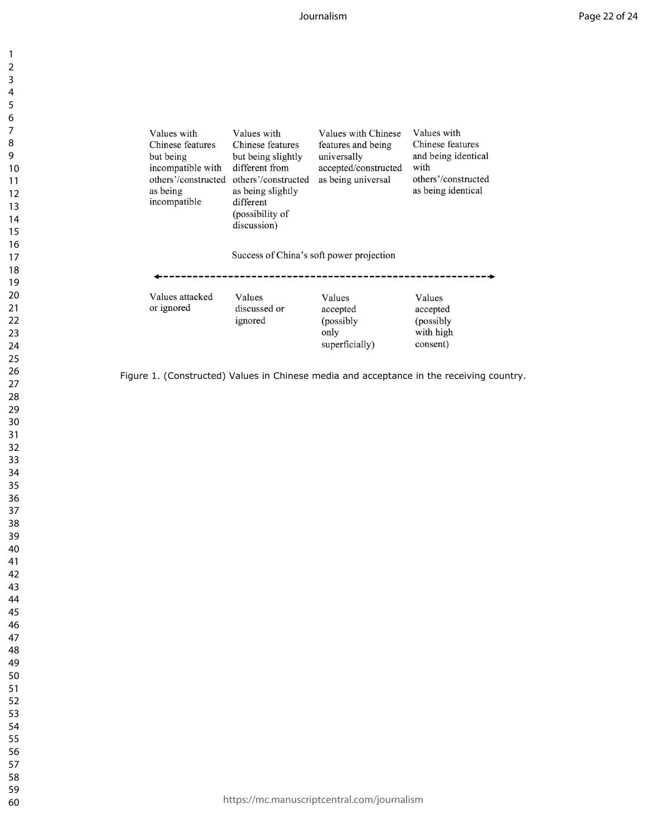Journalism

| Values with<br>Chinese features<br>but being<br>incompatible with<br>others'/constructed<br>as being<br>incompatible | Values with<br>Chinese features<br>but being slightly<br>different from<br>others'/constructed<br>as being slightly<br>different<br>(possibility of<br>discussion) | Values with Chinese<br>features and being<br>universally<br>accepted/constructed<br>as being universal | Values with<br>Chinese features<br>and being identical<br>with<br>others'/constructed<br>as being identical |
|----------------------------------------------------------------------------------------------------------------------|--------------------------------------------------------------------------------------------------------------------------------------------------------------------|--------------------------------------------------------------------------------------------------------|-------------------------------------------------------------------------------------------------------------|
|                                                                                                                      |                                                                                                                                                                    | Success of China's soft power projection                                                               |                                                                                                             |
| Values attacked<br>or ignored                                                                                        | Values<br>discussed or<br>ignored                                                                                                                                  | Values<br>accepted<br>(possibly<br>only<br>superficially)                                              | Values<br>accepted<br>(possibly<br>with high<br>consent)                                                    |
|                                                                                                                      |                                                                                                                                                                    | e 1. (Constructed) Values in Chinese media and acceptance in the receiving co                          |                                                                                                             |
|                                                                                                                      |                                                                                                                                                                    |                                                                                                        |                                                                                                             |
|                                                                                                                      |                                                                                                                                                                    |                                                                                                        |                                                                                                             |
|                                                                                                                      |                                                                                                                                                                    |                                                                                                        |                                                                                                             |
|                                                                                                                      |                                                                                                                                                                    |                                                                                                        |                                                                                                             |

Figure 1. (Constructed) Values in Chinese media and acceptance in the receiving country.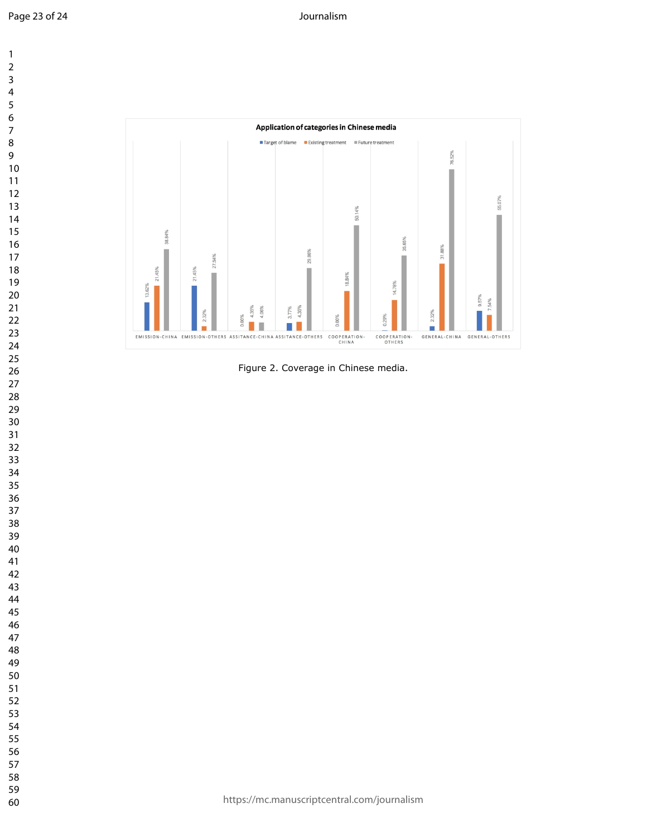$\overline{7}$  $\,8\,$